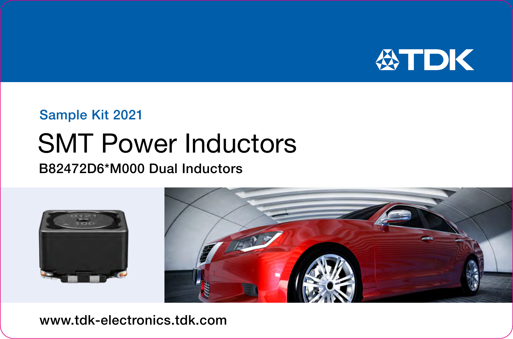

## Sample Kit 2021

# SMT Power Inductors

## B82472D6\*M000 Dual Inductors



www.tdk-electronics.tdk.com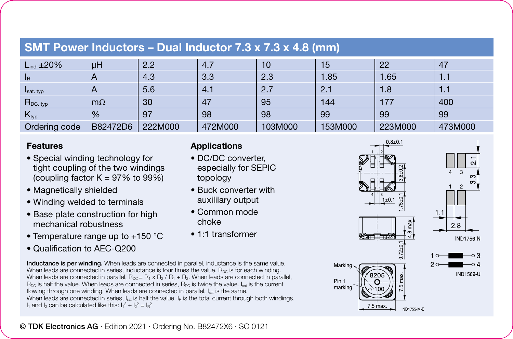| <b>SMT Power Inductors - Dual Inductor 7.3 x 7.3 x 4.8 (mm)</b> |  |
|-----------------------------------------------------------------|--|
|-----------------------------------------------------------------|--|

| $L_{ind}$ ±20%   | μH         | 2.2     | 4.7     | 10      | 15      | 22      | 47      |
|------------------|------------|---------|---------|---------|---------|---------|---------|
| <b>I</b> R       | Ā          | 4.3     | 3.3     | 2.3     | 1.85    | 1.65    | 1.1     |
| Isat. typ        | $\sqrt{ }$ | 5.6     | 4.1     | 2.7     | 2.1     | 1.8     | 1.1     |
| $R_{DC. typ}$    | $m\Omega$  | 30      | 47      | 95      | 144     | 177     | 400     |
| $K_{\text{typ}}$ | %          | 97      | 98      | 98      | 99      | 99      | 99      |
| Ordering code    | B82472D6   | 222M000 | 472M000 | 103M000 | 153M000 | 223M000 | 473M000 |

#### **Features**

- Special winding technology for tight coupling of the two windings (coupling factor  $K = 97\%$  to  $99\%$ )
- Magnetically shielded
- Winding welded to terminals
- Base plate construction for high mechanical robustness
- Temperature range up to +150 °C
- Qualification to AEC-Q200

#### Inductance is per winding. When leads are connected in parallel, inductance is the same value. When leads are connected in series, inductance is four times the value. B<sub>DC</sub> is for each winding. When leads are connected in parallel,  $R_{\text{D2}} = R_1 \times R_2 / R_1 + R_2$ . When leads are connected in parallel, R<sub>DC</sub> is half the value. When leads are connected in series, R<sub>DC</sub> is twice the value. Is the current flowing through one winding. When leads are connected in parallel, Isat is the same. When leads are connected in series, I<sub>sat</sub> is half the value. I<sub>n</sub> is the total current through both windings.  $I_1$  and  $I_2$  can be calculated like this:  $I_1{}^2 + I_2{}^2 = I_R{}^2$

### **Applications**

- DC/DC converter, especially for SEPIC topology
- Buck converter with auxililary output
- Common mode choke
- 1:1 transformer



 $28$ **IND1756-N** 

IND1569-U